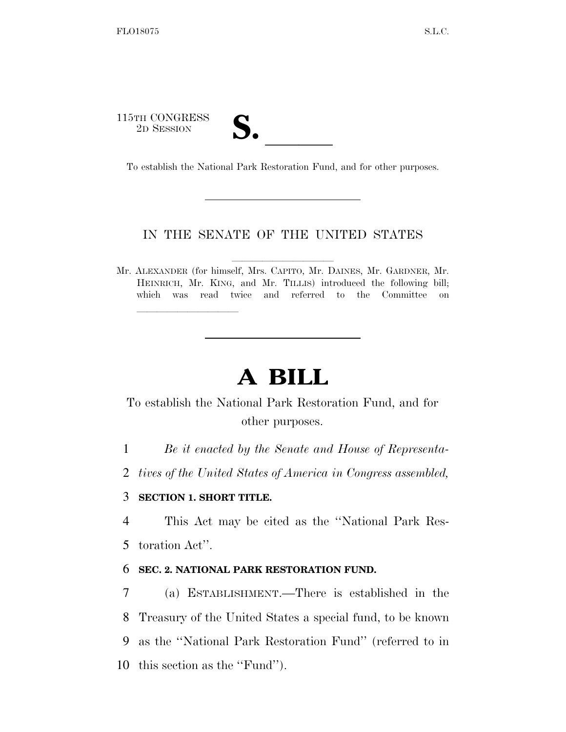115TH CONGRESS <sup>5</sup>TH CONGRESS<br>
<sup>2D</sup> SESSION<br>
To establish the National Park Restoration Fund, and for other purposes.

lle and a second control of the second control of the second control of the second control of the second control of the second control of the second control of the second control of the second control of the second control

## IN THE SENATE OF THE UNITED STATES

Mr. ALEXANDER (for himself, Mrs. Capito, Mr. DAINES, Mr. GARDNER, Mr. HEINRICH, Mr. KING, and Mr. TILLIS) introduced the following bill; which was read twice and referred to the Committee on

## **A BILL**

To establish the National Park Restoration Fund, and for other purposes.

1 *Be it enacted by the Senate and House of Representa-*

2 *tives of the United States of America in Congress assembled,* 

## 3 **SECTION 1. SHORT TITLE.**

4 This Act may be cited as the ''National Park Res-5 toration Act''.

## 6 **SEC. 2. NATIONAL PARK RESTORATION FUND.**

 (a) ESTABLISHMENT.—There is established in the Treasury of the United States a special fund, to be known as the ''National Park Restoration Fund'' (referred to in this section as the ''Fund'').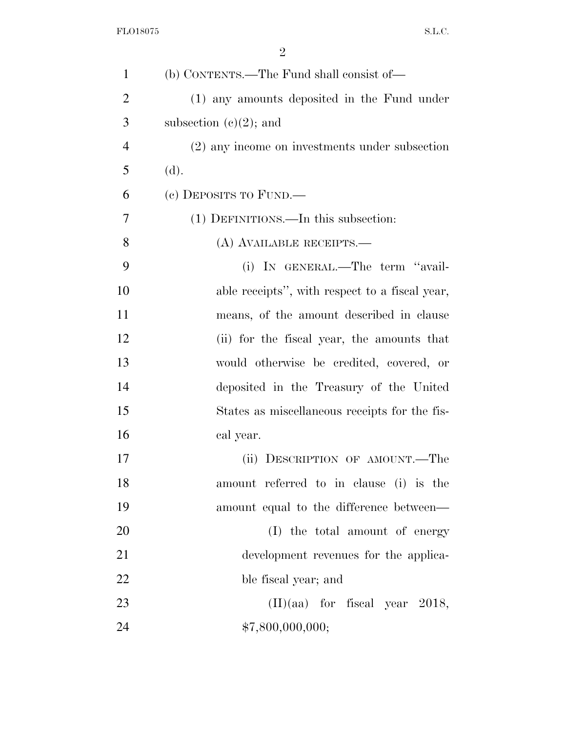| $\mathbf{1}$   | (b) CONTENTS.—The Fund shall consist of—       |
|----------------|------------------------------------------------|
| $\overline{2}$ | (1) any amounts deposited in the Fund under    |
| 3              | subsection $(e)(2)$ ; and                      |
| $\overline{4}$ | (2) any income on investments under subsection |
| 5              | (d).                                           |
| 6              | (c) DEPOSITS TO FUND.—                         |
| 7              | (1) DEFINITIONS.—In this subsection:           |
| 8              | (A) AVAILABLE RECEIPTS.—                       |
| 9              | (i) IN GENERAL.—The term "avail-               |
| 10             | able receipts", with respect to a fiscal year, |
| 11             | means, of the amount described in clause       |
| 12             | (ii) for the fiscal year, the amounts that     |
| 13             | would otherwise be credited, covered, or       |
| 14             | deposited in the Treasury of the United        |
| 15             | States as miscellaneous receipts for the fis-  |
| 16             | cal year.                                      |
| 17             | (ii) DESCRIPTION OF AMOUNT.—The                |
| 18             | amount referred to in clause (i) is the        |
| 19             | amount equal to the difference between—        |
| 20             | (I) the total amount of energy                 |
| 21             | development revenues for the applica-          |
| 22             | ble fiscal year; and                           |
| 23             | $(II)(aa)$ for fiscal year 2018,               |
| 24             | \$7,800,000,000;                               |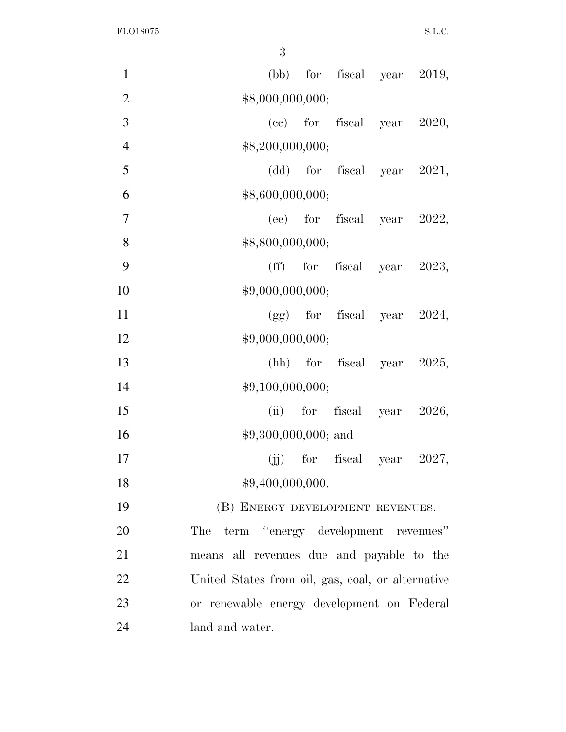FLO18075 S.L.C.

| $\mathbf{1}$   | $(bb)$ for fiscal year 2019,                      |
|----------------|---------------------------------------------------|
| $\overline{2}$ | \$8,000,000,000;                                  |
| 3              | $(ec)$ for fiscal year 2020,                      |
| $\overline{4}$ | \$8,200,000,000;                                  |
| 5              | $(dd)$ for fiscal year 2021,                      |
| 6              | \$8,600,000,000;                                  |
| $\tau$         | $(ee)$ for fiscal year 2022,                      |
| 8              | \$8,800,000,000;                                  |
| 9              | $(ff)$ for fiscal year 2023,                      |
| 10             | \$9,000,000,000;                                  |
| 11             | $(gg)$ for fiscal year 2024,                      |
| 12             | \$9,000,000,000;                                  |
| 13             | $(hh)$ for fiscal year 2025,                      |
| 14             | \$9,100,000,000;                                  |
| 15             | for fiscal year 2026,<br>(ii)                     |
| 16             | $$9,300,000,000;$ and                             |
| 17             | $(jj)$ for fiscal year 2027,                      |
| 18             | \$9,400,000,000.                                  |
| 19             | (B) ENERGY DEVELOPMENT REVENUES.-                 |
| 20             | The term "energy development revenues"            |
| 21             | means all revenues due and payable to the         |
| 22             | United States from oil, gas, coal, or alternative |
| 23             | or renewable energy development on Federal        |
| 24             | land and water.                                   |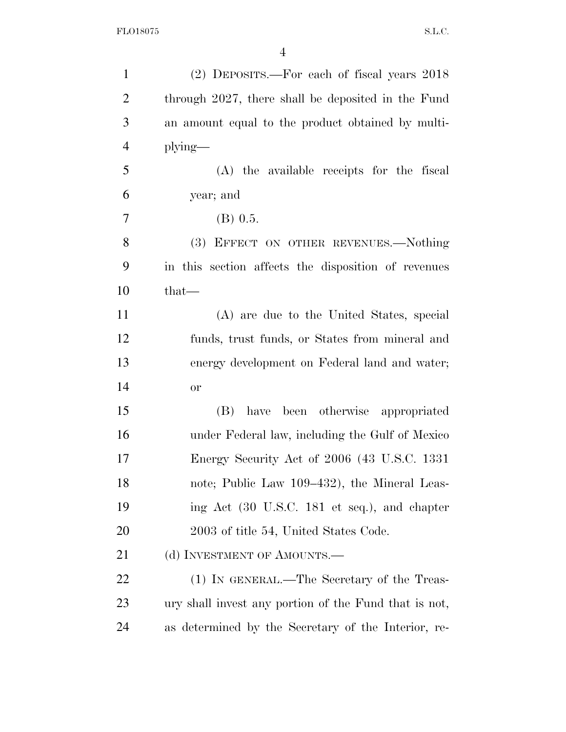| $\mathbf{1}$   | (2) DEPOSITS.—For each of fiscal years 2018           |
|----------------|-------------------------------------------------------|
| $\overline{2}$ | through 2027, there shall be deposited in the Fund    |
| 3              | an amount equal to the product obtained by multi-     |
| $\overline{4}$ | $plying$ —                                            |
| 5              | (A) the available receipts for the fiscal             |
| 6              | year; and                                             |
| 7              | $(B)$ 0.5.                                            |
| 8              | (3) EFFECT ON OTHER REVENUES.-Nothing                 |
| 9              | in this section affects the disposition of revenues   |
| 10             | $that-$                                               |
| 11             | (A) are due to the United States, special             |
| 12             | funds, trust funds, or States from mineral and        |
| 13             | energy development on Federal land and water;         |
| 14             | <b>or</b>                                             |
| 15             | have been otherwise appropriated<br>(B)               |
| 16             | under Federal law, including the Gulf of Mexico       |
| 17             | Energy Security Act of 2006 (43 U.S.C. 1331           |
| 18             | note; Public Law 109–432), the Mineral Leas-          |
| 19             | ing Act (30 U.S.C. 181 et seq.), and chapter          |
| 20             | 2003 of title 54, United States Code.                 |
| 21             | (d) INVESTMENT OF AMOUNTS.—                           |
| 22             | (1) IN GENERAL.—The Secretary of the Treas-           |
| 23             | ury shall invest any portion of the Fund that is not, |
| 24             | as determined by the Secretary of the Interior, re-   |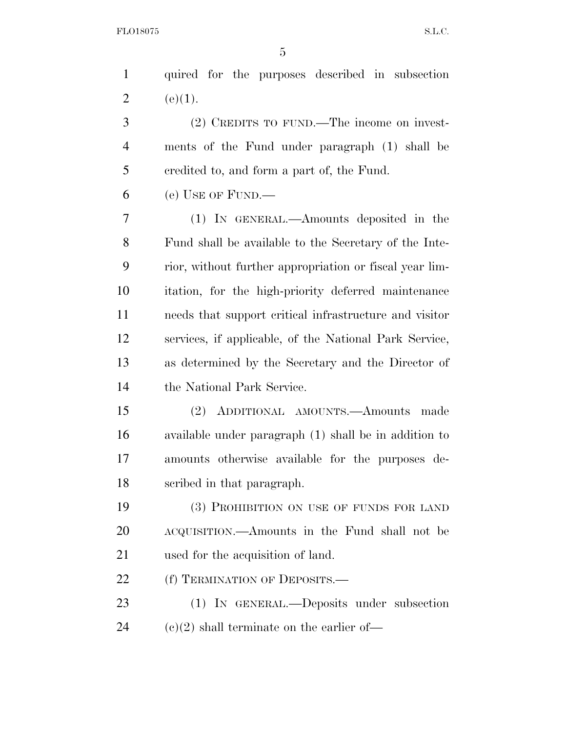| $\mathbf{1}$   | quired for the purposes described in subsection         |
|----------------|---------------------------------------------------------|
| $\overline{2}$ | (e)(1).                                                 |
| 3              | (2) CREDITS TO FUND.—The income on invest-              |
| 4              | ments of the Fund under paragraph (1) shall be          |
| 5              | eredited to, and form a part of, the Fund.              |
| 6              | (e) USE OF FUND.—                                       |
| 7              | (1) IN GENERAL.—Amounts deposited in the                |
| 8              | Fund shall be available to the Secretary of the Inte-   |
| 9              | rior, without further appropriation or fiscal year lim- |
| 10             | itation, for the high-priority deferred maintenance     |
| 11             | needs that support critical infrastructure and visitor  |
| 12             | services, if applicable, of the National Park Service,  |
| 13             | as determined by the Secretary and the Director of      |
| 14             | the National Park Service.                              |
| 15             | ADDITIONAL AMOUNTS.—Amounts made<br>(2)                 |
| 16             | available under paragraph (1) shall be in addition to   |
| 17             | amounts otherwise available for the purposes de-        |
| 18             | scribed in that paragraph.                              |
| 19             | (3) PROHIBITION ON USE OF FUNDS FOR LAND                |
| 20             | ACQUISITION.—Amounts in the Fund shall not be           |
| 21             | used for the acquisition of land.                       |
| 22             | (f) TERMINATION OF DEPOSITS.—                           |
| 23             | (1) IN GENERAL.—Deposits under subsection               |

24  $(c)(2)$  shall terminate on the earlier of—